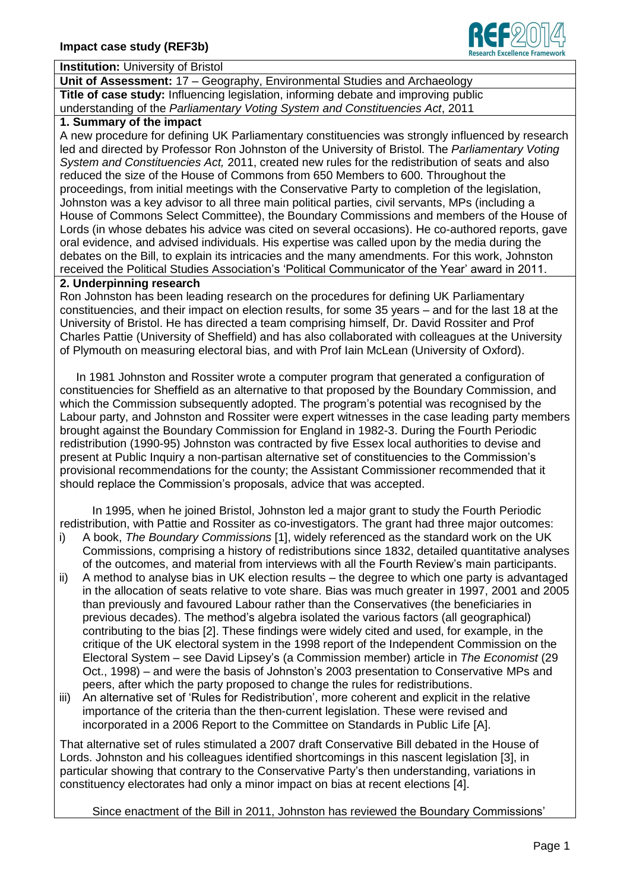

#### **Institution:** University of Bristol

**Unit of Assessment:** 17 – Geography, Environmental Studies and Archaeology **Title of case study:** Influencing legislation, informing debate and improving public understanding of the *Parliamentary Voting System and Constituencies Act*, 2011

#### **1. Summary of the impact**

A new procedure for defining UK Parliamentary constituencies was strongly influenced by research led and directed by Professor Ron Johnston of the University of Bristol. The *Parliamentary Voting System and Constituencies Act,* 2011, created new rules for the redistribution of seats and also reduced the size of the House of Commons from 650 Members to 600. Throughout the proceedings, from initial meetings with the Conservative Party to completion of the legislation, Johnston was a key advisor to all three main political parties, civil servants, MPs (including a House of Commons Select Committee), the Boundary Commissions and members of the House of Lords (in whose debates his advice was cited on several occasions). He co-authored reports, gave oral evidence, and advised individuals. His expertise was called upon by the media during the debates on the Bill, to explain its intricacies and the many amendments. For this work, Johnston received the Political Studies Association's 'Political Communicator of the Year' award in 2011.

### **2. Underpinning research**

Ron Johnston has been leading research on the procedures for defining UK Parliamentary constituencies, and their impact on election results, for some 35 years – and for the last 18 at the University of Bristol. He has directed a team comprising himself, Dr. David Rossiter and Prof Charles Pattie (University of Sheffield) and has also collaborated with colleagues at the University of Plymouth on measuring electoral bias, and with Prof Iain McLean (University of Oxford).

 In 1981 Johnston and Rossiter wrote a computer program that generated a configuration of constituencies for Sheffield as an alternative to that proposed by the Boundary Commission, and which the Commission subsequently adopted. The program's potential was recognised by the Labour party, and Johnston and Rossiter were expert witnesses in the case leading party members brought against the Boundary Commission for England in 1982-3. During the Fourth Periodic redistribution (1990-95) Johnston was contracted by five Essex local authorities to devise and present at Public Inquiry a non-partisan alternative set of constituencies to the Commission's provisional recommendations for the county; the Assistant Commissioner recommended that it should replace the Commission's proposals, advice that was accepted.

 In 1995, when he joined Bristol, Johnston led a major grant to study the Fourth Periodic redistribution, with Pattie and Rossiter as co-investigators. The grant had three major outcomes:

- i) A book, *The Boundary Commissions* [1], widely referenced as the standard work on the UK Commissions, comprising a history of redistributions since 1832, detailed quantitative analyses of the outcomes, and material from interviews with all the Fourth Review's main participants.
- ii) A method to analyse bias in UK election results the degree to which one party is advantaged in the allocation of seats relative to vote share. Bias was much greater in 1997, 2001 and 2005 than previously and favoured Labour rather than the Conservatives (the beneficiaries in previous decades). The method's algebra isolated the various factors (all geographical) contributing to the bias [2]. These findings were widely cited and used, for example, in the critique of the UK electoral system in the 1998 report of the Independent Commission on the Electoral System – see David Lipsey's (a Commission member) article in *The Economist* (29 Oct., 1998) – and were the basis of Johnston's 2003 presentation to Conservative MPs and peers, after which the party proposed to change the rules for redistributions.
- iii) An alternative set of 'Rules for Redistribution', more coherent and explicit in the relative importance of the criteria than the then-current legislation. These were revised and incorporated in a 2006 Report to the Committee on Standards in Public Life [A].

That alternative set of rules stimulated a 2007 draft Conservative Bill debated in the House of Lords. Johnston and his colleagues identified shortcomings in this nascent legislation [3], in particular showing that contrary to the Conservative Party's then understanding, variations in constituency electorates had only a minor impact on bias at recent elections [4].

Since enactment of the Bill in 2011, Johnston has reviewed the Boundary Commissions'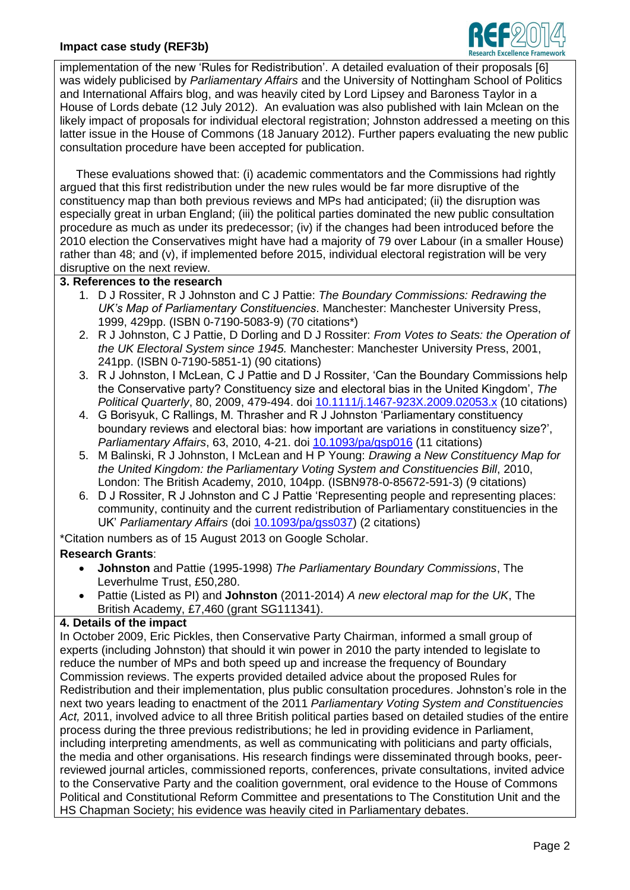# **Impact case study (REF3b)**



implementation of the new 'Rules for Redistribution'. A detailed evaluation of their proposals [6] was widely publicised by *Parliamentary Affairs* and the University of Nottingham School of Politics and International Affairs blog, and was heavily cited by Lord Lipsey and Baroness Taylor in a House of Lords debate (12 July 2012). An evaluation was also published with Iain Mclean on the likely impact of proposals for individual electoral registration; Johnston addressed a meeting on this latter issue in the House of Commons (18 January 2012). Further papers evaluating the new public consultation procedure have been accepted for publication.

 These evaluations showed that: (i) academic commentators and the Commissions had rightly argued that this first redistribution under the new rules would be far more disruptive of the constituency map than both previous reviews and MPs had anticipated; (ii) the disruption was especially great in urban England; (iii) the political parties dominated the new public consultation procedure as much as under its predecessor; (iv) if the changes had been introduced before the 2010 election the Conservatives might have had a majority of 79 over Labour (in a smaller House) rather than 48; and (v), if implemented before 2015, individual electoral registration will be very disruptive on the next review.

### **3. References to the research**

- 1. D J Rossiter, R J Johnston and C J Pattie: *The Boundary Commissions: Redrawing the UK's Map of Parliamentary Constituencies*. Manchester: Manchester University Press, 1999, 429pp. (ISBN 0-7190-5083-9) (70 citations\*)
- 2. R J Johnston, C J Pattie, D Dorling and D J Rossiter: *From Votes to Seats: the Operation of the UK Electoral System since 1945.* Manchester: Manchester University Press, 2001, 241pp. (ISBN 0-7190-5851-1) (90 citations)
- 3. R J Johnston, I McLean, C J Pattie and D J Rossiter, 'Can the Boundary Commissions help the Conservative party? Constituency size and electoral bias in the United Kingdom', *The Political Quarterly*, 80, 2009, 479-494. doi [10.1111/j.1467-923X.2009.02053.x](http://dx.doi.org/10.1111/j.1467-923X.2009.02053.x) (10 citations)
- 4. G Borisyuk, C Rallings, M. Thrasher and R J Johnston 'Parliamentary constituency boundary reviews and electoral bias: how important are variations in constituency size?', *Parliamentary Affairs*, 63, 2010, 4-21. doi [10.1093/pa/gsp016](http://dx.doi.org/10.1093/pa/gsp016) (11 citations)
- 5. M Balinski, R J Johnston, I McLean and H P Young: *Drawing a New Constituency Map for the United Kingdom: the Parliamentary Voting System and Constituencies Bill*, 2010, London: The British Academy, 2010, 104pp. (ISBN978-0-85672-591-3) (9 citations)
- 6. D J Rossiter, R J Johnston and C J Pattie 'Representing people and representing places: community, continuity and the current redistribution of Parliamentary constituencies in the UK' *Parliamentary Affairs* (doi [10.1093/pa/gss037\)](http://dx.doi.org/10.1093/pa/gss037) (2 citations)

\*Citation numbers as of 15 August 2013 on Google Scholar.

## **Research Grants**:

- **Johnston** and Pattie (1995-1998) *The Parliamentary Boundary Commissions*, The Leverhulme Trust, £50,280.
- Pattie (Listed as PI) and **Johnston** (2011-2014) *A new electoral map for the UK*, The British Academy, £7,460 (grant SG111341).

### **4. Details of the impact**

In October 2009, Eric Pickles, then Conservative Party Chairman, informed a small group of experts (including Johnston) that should it win power in 2010 the party intended to legislate to reduce the number of MPs and both speed up and increase the frequency of Boundary Commission reviews. The experts provided detailed advice about the proposed Rules for Redistribution and their implementation, plus public consultation procedures. Johnston's role in the next two years leading to enactment of the 2011 *Parliamentary Voting System and Constituencies*  Act, 2011, involved advice to all three British political parties based on detailed studies of the entire process during the three previous redistributions; he led in providing evidence in Parliament, including interpreting amendments, as well as communicating with politicians and party officials, the media and other organisations. His research findings were disseminated through books, peerreviewed journal articles, commissioned reports, conferences, private consultations, invited advice to the Conservative Party and the coalition government, oral evidence to the House of Commons Political and Constitutional Reform Committee and presentations to The Constitution Unit and the HS Chapman Society; his evidence was heavily cited in Parliamentary debates.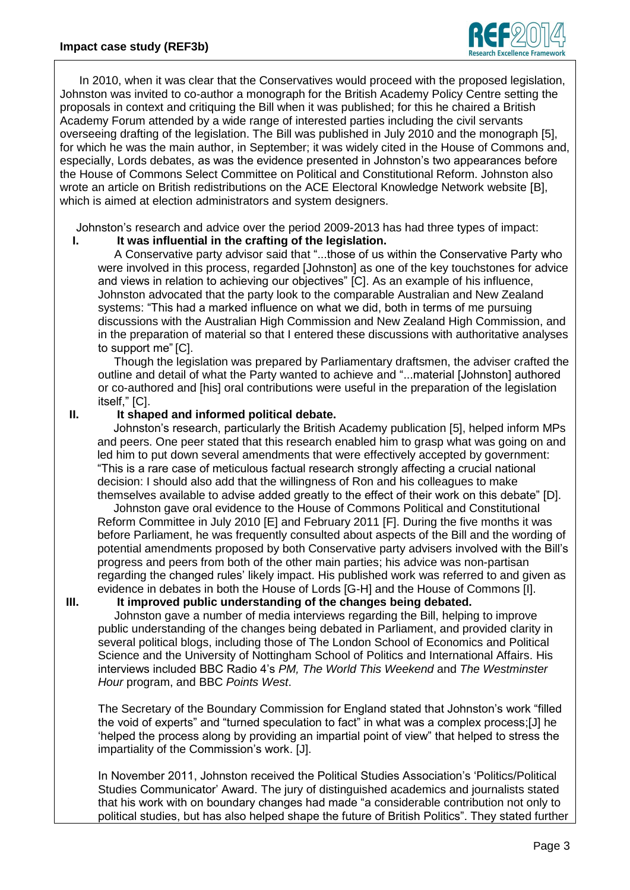

 In 2010, when it was clear that the Conservatives would proceed with the proposed legislation, Johnston was invited to co-author a monograph for the British Academy Policy Centre setting the proposals in context and critiquing the Bill when it was published; for this he chaired a British Academy Forum attended by a wide range of interested parties including the civil servants overseeing drafting of the legislation. The Bill was published in July 2010 and the monograph [5], for which he was the main author, in September; it was widely cited in the House of Commons and, especially, Lords debates, as was the evidence presented in Johnston's two appearances before the House of Commons Select Committee on Political and Constitutional Reform. Johnston also wrote an article on British redistributions on the ACE Electoral Knowledge Network website [B], which is aimed at election administrators and system designers.

Johnston's research and advice over the period 2009-2013 has had three types of impact:

**I. It was influential in the crafting of the legislation.**

 A Conservative party advisor said that "...those of us within the Conservative Party who were involved in this process, regarded [Johnston] as one of the key touchstones for advice and views in relation to achieving our objectives" [C]. As an example of his influence, Johnston advocated that the party look to the comparable Australian and New Zealand systems: "This had a marked influence on what we did, both in terms of me pursuing discussions with the Australian High Commission and New Zealand High Commission, and in the preparation of material so that I entered these discussions with authoritative analyses to support me" [C].

 Though the legislation was prepared by Parliamentary draftsmen, the adviser crafted the outline and detail of what the Party wanted to achieve and "...material [Johnston] authored or co-authored and [his] oral contributions were useful in the preparation of the legislation itself," [C].

# **II. It shaped and informed political debate.**

 Johnston's research, particularly the British Academy publication [5], helped inform MPs and peers. One peer stated that this research enabled him to grasp what was going on and led him to put down several amendments that were effectively accepted by government: "This is a rare case of meticulous factual research strongly affecting a crucial national decision: I should also add that the willingness of Ron and his colleagues to make themselves available to advise added greatly to the effect of their work on this debate" [D].

 Johnston gave oral evidence to the House of Commons Political and Constitutional Reform Committee in July 2010 [E] and February 2011 [F]. During the five months it was before Parliament, he was frequently consulted about aspects of the Bill and the wording of potential amendments proposed by both Conservative party advisers involved with the Bill's progress and peers from both of the other main parties; his advice was non-partisan regarding the changed rules' likely impact. His published work was referred to and given as evidence in debates in both the House of Lords [G-H] and the House of Commons [I].

### **III. It improved public understanding of the changes being debated.**

 Johnston gave a number of media interviews regarding the Bill, helping to improve public understanding of the changes being debated in Parliament, and provided clarity in several political blogs, including those of The London School of Economics and Political Science and the University of Nottingham School of Politics and International Affairs. His interviews included BBC Radio 4's *PM, The World This Weekend* and *The Westminster Hour* program, and BBC *Points West*.

The Secretary of the Boundary Commission for England stated that Johnston's work "filled the void of experts" and "turned speculation to fact" in what was a complex process;[J] he 'helped the process along by providing an impartial point of view" that helped to stress the impartiality of the Commission's work. [J].

In November 2011, Johnston received the Political Studies Association's 'Politics/Political Studies Communicator' Award. The jury of distinguished academics and journalists stated that his work with on boundary changes had made "a considerable contribution not only to political studies, but has also helped shape the future of British Politics". They stated further